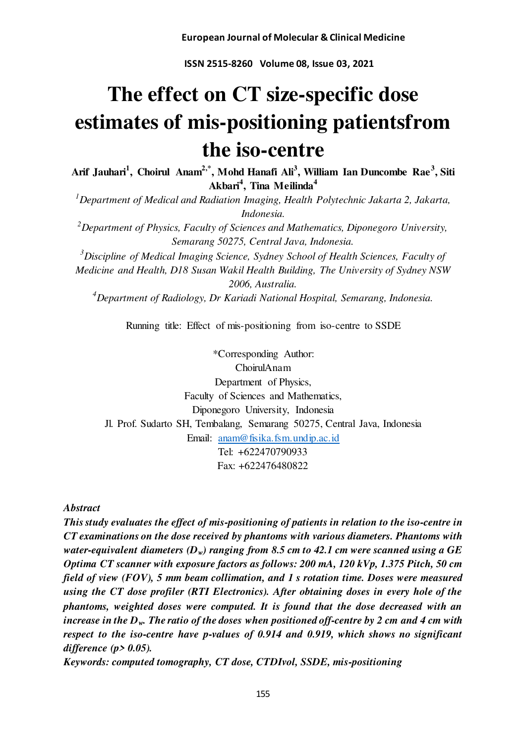**ISSN 2515-8260 Volume 08, Issue 03, 2021** 

# **The effect on CT size-specific dose estimates of mis-positioning patientsfrom the iso-centre**

**Arif Jauhari<sup>1</sup> , Choirul Anam2,\*, Mohd Hanafi Ali<sup>3</sup> , William Ian Duncombe Rae<sup>3</sup> , Siti Akbari<sup>4</sup> , Tina Meilinda<sup>4</sup>**

*<sup>1</sup>Department of Medical and Radiation Imaging, Health Polytechnic Jakarta 2, Jakarta, Indonesia.* 

*<sup>2</sup>Department of Physics, Faculty of Sciences and Mathematics, Diponegoro University, Semarang 50275, Central Java, Indonesia.* 

*<sup>3</sup>Discipline of Medical Imaging Science, Sydney School of Health Sciences, Faculty of Medicine and Health, D18 Susan Wakil Health Building, The University of Sydney NSW 2006, Australia.* 

*<sup>4</sup>Department of Radiology, Dr Kariadi National Hospital, Semarang, Indonesia.* 

Running title: Effect of mis-positioning from iso-centre to SSDE

\*Corresponding Author: ChoirulAnam Department of Physics, Faculty of Sciences and Mathematics, Diponegoro University, Indonesia Jl. Prof. Sudarto SH, Tembalang, Semarang 50275, Central Java, Indonesia Email: [anam@fisika.fsm.undip.ac.id](mailto:anam@fisika.fsm.undip.ac.id) Tel: +622470790933 Fax: +622476480822

*Abstract* 

*This study evaluates the effect of mis-positioning of patients in relation to the iso-centre in CT examinations on the dose received by phantoms with various diameters. Phantoms with water-equivalent diameters (Dw) ranging from 8.5 cm to 42.1 cm were scanned using a GE Optima CT scanner with exposure factors as follows: 200 mA, 120 kVp, 1.375 Pitch, 50 cm field of view (FOV), 5 mm beam collimation, and 1 s rotation time. Doses were measured using the CT dose profiler (RTI Electronics). After obtaining doses in every hole of the phantoms, weighted doses were computed. It is found that the dose decreased with an increase in the Dw. The ratio of the doses when positioned off-centre by 2 cm and 4 cm with respect to the iso-centre have p-values of 0.914 and 0.919, which shows no significant difference (p> 0.05).* 

*Keywords: computed tomography, CT dose, CTDIvol, SSDE, mis-positioning*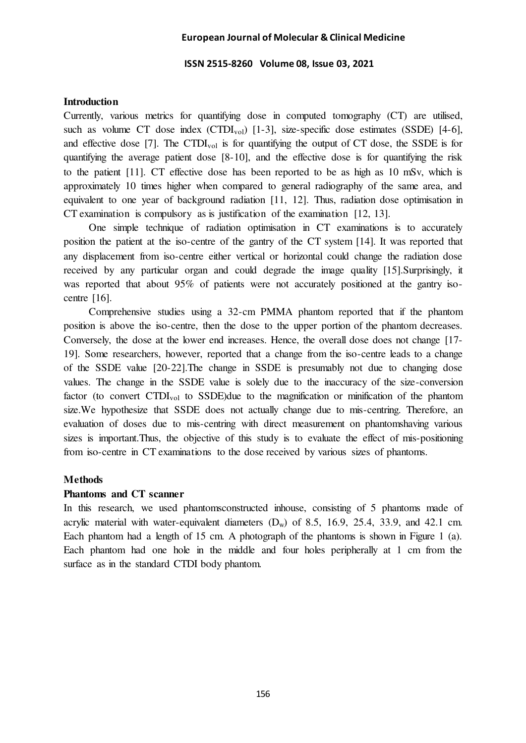## **ISSN 2515-8260 Volume 08, Issue 03, 2021**

# **Introduction**

Currently, various metrics for quantifying dose in computed tomography (CT) are utilised, such as volume CT dose index  $(CTDI_{vol})$  [1-3], size-specific dose estimates (SSDE) [4-6], and effective dose [7]. The CTDI<sub>vol</sub> is for quantifying the output of CT dose, the SSDE is for quantifying the average patient dose [8-10], and the effective dose is for quantifying the risk to the patient [11]. CT effective dose has been reported to be as high as 10 mSv, which is approximately 10 times higher when compared to general radiography of the same area, and equivalent to one year of background radiation [11, 12]. Thus, radiation dose optimisation in CT examination is compulsory as is justification of the examination [12, 13].

One simple technique of radiation optimisation in CT examinations is to accurately position the patient at the iso-centre of the gantry of the CT system [14]. It was reported that any displacement from iso-centre either vertical or horizontal could change the radiation dose received by any particular organ and could degrade the image quality [15].Surprisingly, it was reported that about 95% of patients were not accurately positioned at the gantry isocentre [16].

Comprehensive studies using a 32-cm PMMA phantom reported that if the phantom position is above the iso-centre, then the dose to the upper portion of the phantom decreases. Conversely, the dose at the lower end increases. Hence, the overall dose does not change [17- 19]. Some researchers, however, reported that a change from the iso-centre leads to a change of the SSDE value [20-22].The change in SSDE is presumably not due to changing dose values. The change in the SSDE value is solely due to the inaccuracy of the size-conversion factor (to convert CTDI<sub>vol</sub> to SSDE)due to the magnification or minification of the phantom size.We hypothesize that SSDE does not actually change due to mis-centring. Therefore, an evaluation of doses due to mis-centring with direct measurement on phantomshaving various sizes is important.Thus, the objective of this study is to evaluate the effect of mis-positioning from iso-centre in CT examinations to the dose received by various sizes of phantoms.

# **Methods**

# **Phantoms and CT scanner**

In this research, we used phantomsconstructed inhouse, consisting of 5 phantoms made of acrylic material with water-equivalent diameters  $(D_w)$  of 8.5, 16.9, 25.4, 33.9, and 42.1 cm. Each phantom had a length of 15 cm. A photograph of the phantoms is shown in Figure 1 (a). Each phantom had one hole in the middle and four holes peripherally at 1 cm from the surface as in the standard CTDI body phantom.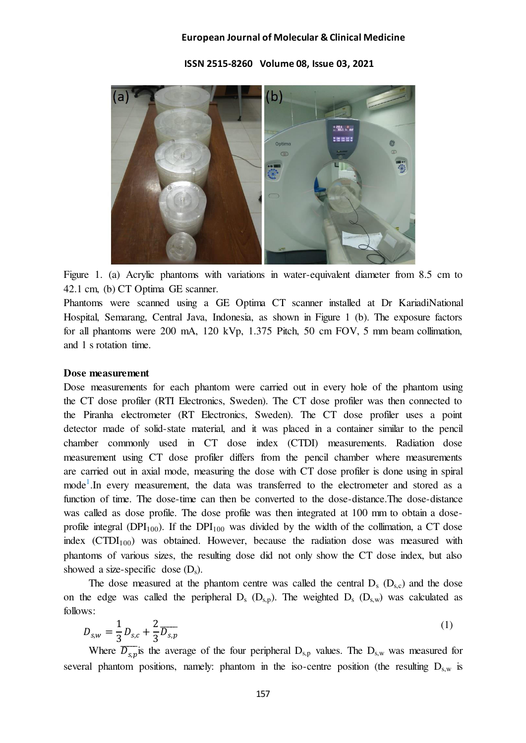**ISSN 2515-8260 Volume 08, Issue 03, 2021** 



Figure 1. (a) Acrylic phantoms with variations in water-equivalent diameter from 8.5 cm to 42.1 cm, (b) CT Optima GE scanner.

Phantoms were scanned using a GE Optima CT scanner installed at Dr KariadiNational Hospital, Semarang, Central Java, Indonesia, as shown in Figure 1 (b). The exposure factors for all phantoms were 200 mA, 120 kVp, 1.375 Pitch, 50 cm FOV, 5 mm beam collimation, and 1 s rotation time.

## **Dose measurement**

Dose measurements for each phantom were carried out in every hole of the phantom using the CT dose profiler (RTI Electronics, Sweden). The CT dose profiler was then connected to the Piranha electrometer (RT Electronics, Sweden). The CT dose profiler uses a point detector made of solid-state material, and it was placed in a container similar to the pencil chamber commonly used in CT dose index (CTDI) measurements. Radiation dose measurement using CT dose profiler differs from the pencil chamber where measurements are carried out in axial mode, measuring the dose with CT dose profiler is done using in spiral mode<sup>1</sup>. In every measurement, the data was transferred to the electrometer and stored as a function of time. The dose-time can then be converted to the dose-distance.The dose-distance was called as dose profile. The dose profile was then integrated at 100 mm to obtain a doseprofile integral (DPI<sub>100</sub>). If the DPI<sub>100</sub> was divided by the width of the collimation, a CT dose index  $(CTDI<sub>100</sub>)$  was obtained. However, because the radiation dose was measured with phantoms of various sizes, the resulting dose did not only show the CT dose index, but also showed a size-specific dose  $(D_s)$ .

The dose measured at the phantom centre was called the central  $D_s$  ( $D_{s,c}$ ) and the dose on the edge was called the peripheral  $D_s$  ( $D_{s,p}$ ). The weighted  $D_s$  ( $D_{s,w}$ ) was calculated as follows:

$$
D_{s,w} = \frac{1}{3} D_{s,c} + \frac{2}{3} \overline{D_{s,p}}
$$
 (1)

Where  $\overline{D_{s,p}}$  is the average of the four peripheral  $D_{s,p}$  values. The  $D_{s,w}$  was measured for several phantom positions, namely: phantom in the iso-centre position (the resulting  $D_{s,w}$  is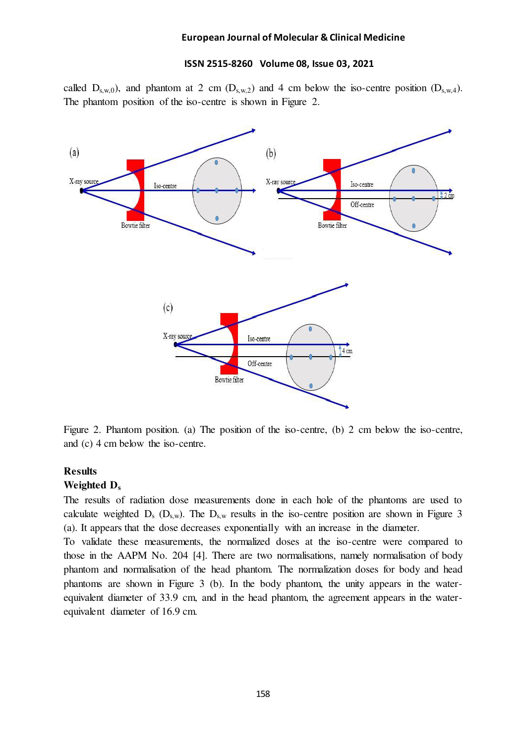# **ISSN 2515-8260 Volume 08, Issue 03, 2021**

called  $D_{s,w,0}$ , and phantom at 2 cm  $(D_{s,w,2})$  and 4 cm below the iso-centre position  $(D_{s,w,4})$ . The phantom position of the iso-centre is shown in Figure 2.



Figure 2. Phantom position. (a) The position of the iso-centre, (b) 2 cm below the iso-centre, and (c) 4 cm below the iso-centre.

## **Results**

## **Weighted D<sup>s</sup>**

The results of radiation dose measurements done in each hole of the phantoms are used to calculate weighted  $D_s$  ( $D_{s,w}$ ). The  $D_{s,w}$  results in the iso-centre position are shown in Figure 3 (a). It appears that the dose decreases exponentially with an increase in the diameter.

To validate these measurements, the normalized doses at the iso-centre were compared to those in the AAPM No. 204 [4]. There are two normalisations, namely normalisation of body phantom and normalisation of the head phantom. The normalization doses for body and head phantoms are shown in Figure 3 (b). In the body phantom, the unity appears in the waterequivalent diameter of 33.9 cm, and in the head phantom, the agreement appears in the waterequivalent diameter of 16.9 cm.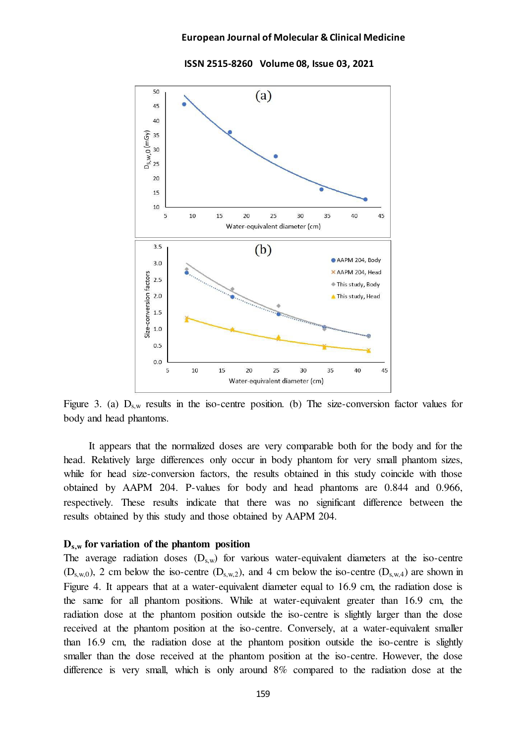

 **ISSN 2515-8260 Volume 08, Issue 03, 2021** 

Figure 3. (a)  $D_{s,w}$  results in the iso-centre position. (b) The size-conversion factor values for body and head phantoms.

It appears that the normalized doses are very comparable both for the body and for the head. Relatively large differences only occur in body phantom for very small phantom sizes, while for head size-conversion factors, the results obtained in this study coincide with those obtained by AAPM 204. P-values for body and head phantoms are 0.844 and 0.966, respectively. These results indicate that there was no significant difference between the results obtained by this study and those obtained by AAPM 204.

# **Ds,w for variation of the phantom position**

The average radiation doses  $(D_{s,w})$  for various water-equivalent diameters at the iso-centre  $(D_{s,w,0})$ , 2 cm below the iso-centre  $(D_{s,w,2})$ , and 4 cm below the iso-centre  $(D_{s,w,4})$  are shown in Figure 4. It appears that at a water-equivalent diameter equal to 16.9 cm, the radiation dose is the same for all phantom positions. While at water-equivalent greater than 16.9 cm, the radiation dose at the phantom position outside the iso-centre is slightly larger than the dose received at the phantom position at the iso-centre. Conversely, at a water-equivalent smaller than 16.9 cm, the radiation dose at the phantom position outside the iso-centre is slightly smaller than the dose received at the phantom position at the iso-centre. However, the dose difference is very small, which is only around 8% compared to the radiation dose at the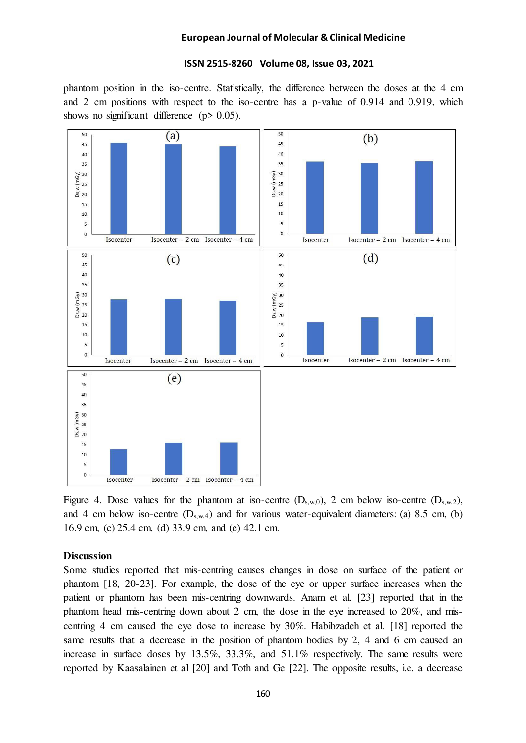# **ISSN 2515-8260 Volume 08, Issue 03, 2021**

phantom position in the iso-centre. Statistically, the difference between the doses at the 4 cm and 2 cm positions with respect to the iso-centre has a p-value of 0.914 and 0.919, which shows no significant difference ( $p > 0.05$ ).



Figure 4. Dose values for the phantom at iso-centre  $(D_{s,w,0})$ , 2 cm below iso-centre  $(D_{s,w,2})$ , and 4 cm below iso-centre  $(D_{s,w,4})$  and for various water-equivalent diameters: (a) 8.5 cm, (b) 16.9 cm, (c) 25.4 cm, (d) 33.9 cm, and (e) 42.1 cm.

# **Discussion**

Some studies reported that mis-centring causes changes in dose on surface of the patient or phantom [18, 20-23]. For example, the dose of the eye or upper surface increases when the patient or phantom has been mis-centring downwards. Anam et al. [23] reported that in the phantom head mis-centring down about 2 cm, the dose in the eye increased to 20%, and miscentring 4 cm caused the eye dose to increase by 30%. Habibzadeh et al. [18] reported the same results that a decrease in the position of phantom bodies by 2, 4 and 6 cm caused an increase in surface doses by 13.5%, 33.3%, and 51.1% respectively. The same results were reported by Kaasalainen et al [20] and Toth and Ge [22]. The opposite results, i.e. a decrease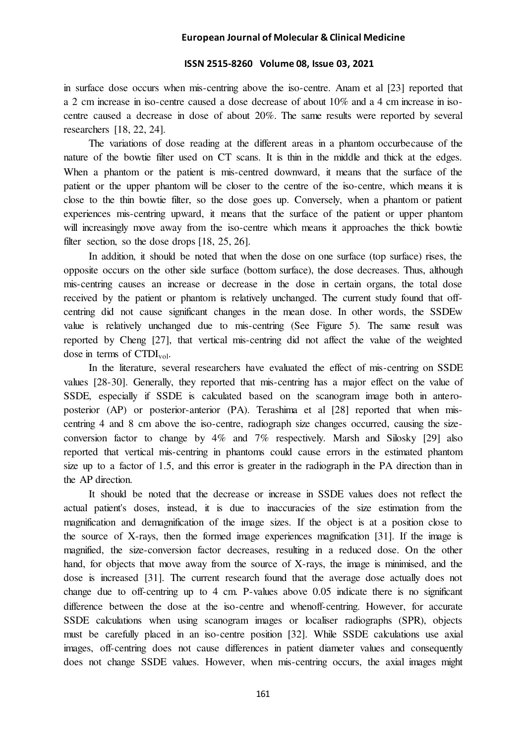### **ISSN 2515-8260 Volume 08, Issue 03, 2021**

in surface dose occurs when mis-centring above the iso-centre. Anam et al [23] reported that a 2 cm increase in iso-centre caused a dose decrease of about 10% and a 4 cm increase in isocentre caused a decrease in dose of about 20%. The same results were reported by several researchers [18, 22, 24].

The variations of dose reading at the different areas in a phantom occurbecause of the nature of the bowtie filter used on CT scans. It is thin in the middle and thick at the edges. When a phantom or the patient is mis-centred downward, it means that the surface of the patient or the upper phantom will be closer to the centre of the iso-centre, which means it is close to the thin bowtie filter, so the dose goes up. Conversely, when a phantom or patient experiences mis-centring upward, it means that the surface of the patient or upper phantom will increasingly move away from the iso-centre which means it approaches the thick bowtie filter section, so the dose drops [18, 25, 26].

In addition, it should be noted that when the dose on one surface (top surface) rises, the opposite occurs on the other side surface (bottom surface), the dose decreases. Thus, although mis-centring causes an increase or decrease in the dose in certain organs, the total dose received by the patient or phantom is relatively unchanged. The current study found that offcentring did not cause significant changes in the mean dose. In other words, the SSDEw value is relatively unchanged due to mis-centring (See Figure 5). The same result was reported by Cheng [27], that vertical mis-centring did not affect the value of the weighted dose in terms of  $CTDI_{vol}$ .

In the literature, several researchers have evaluated the effect of mis-centring on SSDE values [28-30]. Generally, they reported that mis-centring has a major effect on the value of SSDE, especially if SSDE is calculated based on the scanogram image both in anteroposterior (AP) or posterior-anterior (PA). Terashima et al [28] reported that when miscentring 4 and 8 cm above the iso-centre, radiograph size changes occurred, causing the sizeconversion factor to change by 4% and 7% respectively. Marsh and Silosky [29] also reported that vertical mis-centring in phantoms could cause errors in the estimated phantom size up to a factor of 1.5, and this error is greater in the radiograph in the PA direction than in the AP direction.

It should be noted that the decrease or increase in SSDE values does not reflect the actual patient's doses, instead, it is due to inaccuracies of the size estimation from the magnification and demagnification of the image sizes. If the object is at a position close to the source of X-rays, then the formed image experiences magnification [31]. If the image is magnified, the size-conversion factor decreases, resulting in a reduced dose. On the other hand, for objects that move away from the source of X-rays, the image is minimised, and the dose is increased [31]. The current research found that the average dose actually does not change due to off-centring up to 4 cm. P-values above 0.05 indicate there is no significant difference between the dose at the iso-centre and whenoff-centring. However, for accurate SSDE calculations when using scanogram images or localiser radiographs (SPR), objects must be carefully placed in an iso-centre position [32]. While SSDE calculations use axial images, off-centring does not cause differences in patient diameter values and consequently does not change SSDE values. However, when mis-centring occurs, the axial images might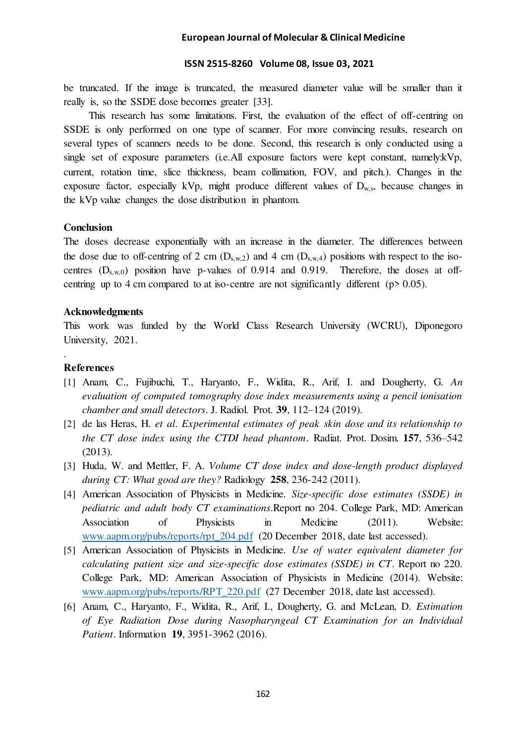#### **ISSN 2515-8260 Volume 08, Issue 03, 2021**

be truncated. If the image is truncated, the measured diameter value will be smaller than it really is, so the SSDE dose becomes greater [33].

This research has some limitations. First, the evaluation of the effect of off-centring on SSDE is only performed on one type of scanner. For more convincing results, research on several types of scanners needs to be done. Second, this research is only conducted using a single set of exposure parameters (i.e.All exposure factors were kept constant, namely:kVp, current, rotation time, slice thickness, beam collimation, FOV, and pitch.). Changes in the exposure factor, especially kVp, might produce different values of  $D_{w,s}$ , because changes in the kVp value changes the dose distribution in phantom.

# **Conclusion**

The doses decrease exponentially with an increase in the diameter. The differences between the dose due to off-centring of 2 cm  $(D_{s,w,2})$  and 4 cm  $(D_{s,w,4})$  positions with respect to the isocentres  $(D_{s,w,0})$  position have p-values of 0.914 and 0.919. Therefore, the doses at offcentring up to 4 cm compared to at iso-centre are not significantly different (p> 0.05).

## **Acknowledgments**

This work was funded by the World Class Research University (WCRU), Diponegoro University, 2021.

# **References**

.

- [1] Anam, C., Fujibuchi, T., Haryanto, F., Widita, R., Arif, I. and Dougherty, G. *An evaluation of computed tomography dose index measurements using a pencil ionisation chamber and small detectors*. J. Radiol. Prot. **39**, 112–124 (2019).
- [2] de las Heras, H. *et al*. *Experimental estimates of peak skin dose and its relationship to the CT dose index using the CTDI head phantom*. Radiat. Prot. Dosim. **157**, 536–542 (2013).
- [3] Huda, W. and Mettler, F. A. *Volume CT dose index and dose-length product displayed during CT: What good are they?* Radiology **258**, 236-242 (2011).
- [4] American Association of Physicists in Medicine. *Size-specific dose estimates (SSDE) in pediatric and adult body CT examinations*.Report no 204. College Park, MD: American Association of Physicists in Medicine (2011). Website: [www.aapm.org/pubs/reports/rpt\\_204.pdf](http://www.aapm.org/pubs/reports/rpt_204.pdf) (20 December 2018, date last accessed).
- [5] American Association of Physicists in Medicine. *Use of water equivalent diameter for calculating patient size and size-specific dose estimates (SSDE) in CT*. Report no 220. College Park, MD: American Association of Physicists in Medicine (2014). Website: [www.aapm.org/pubs/reports/RPT\\_220.pdf](http://www.aapm.org/pubs/reports/RPT_220.pdf) (27 December 2018, date last accessed).
- [6] Anam, C., Haryanto, F., Widita, R., Arif, I., Dougherty, G. and McLean, D. *Estimation of Eye Radiation Dose during Nasopharyngeal CT Examination for an Individual Patient*. Information **19**, 3951-3962 (2016).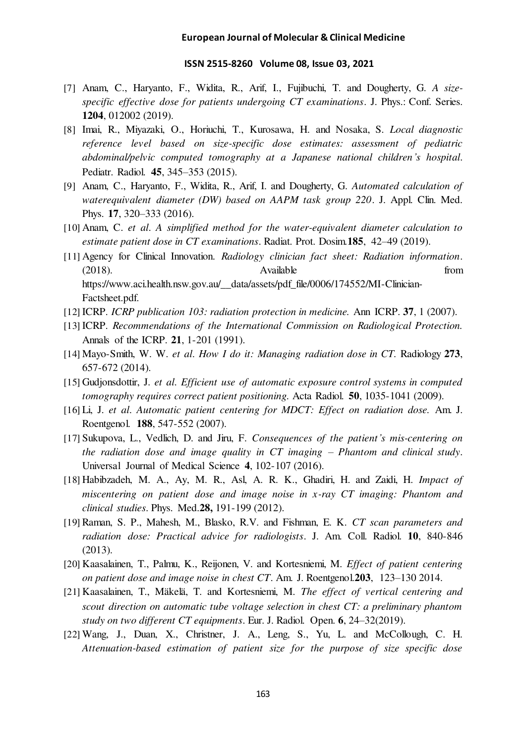#### **ISSN 2515-8260 Volume 08, Issue 03, 2021**

- [7] Anam, C., Haryanto, F., Widita, R., Arif, I., Fujibuchi, T. and Dougherty, G. *A sizespecific effective dose for patients undergoing CT examinations*. J. Phys.: Conf. Series. **1204**, 012002 (2019).
- [8] Imai, R., Miyazaki, O., Horiuchi, T., Kurosawa, H. and Nosaka, S. *Local diagnostic reference level based on size-specific dose estimates: assessment of pediatric abdominal/pelvic computed tomography at a Japanese national children's hospital*. Pediatr. Radiol. **45**, 345–353 (2015).
- [9] Anam, C., Haryanto, F., Widita, R., Arif, I. and Dougherty, G. *Automated calculation of waterequivalent diameter (DW) based on AAPM task group 220*. J. Appl. Clin. Med. Phys. **17**, 320–333 (2016).
- [10] Anam, C. *et al*. *A simplified method for the water-equivalent diameter calculation to estimate patient dose in CT examinations*. Radiat. Prot. Dosim.**185**, 42–49 (2019).
- [11] Agency for Clinical Innovation. *Radiology clinician fact sheet: Radiation information*. (2018). Available from https://www.aci.health.nsw.gov.au/\_\_data/assets/pdf\_file/0006/174552/MI-Clinician-Factsheet.pdf.
- [12] ICRP. *ICRP publication 103: radiation protection in medicine.* Ann ICRP. **37**, 1 (2007).
- [13] ICRP. *Recommendations of the International Commission on Radiological Protection.* Annals of the ICRP. **21**, 1-201 (1991).
- [14] Mayo-Smith, W. W. *et al*. *How I do it: Managing radiation dose in CT.* Radiology **273**, 657-672 (2014).
- [15] Gudjonsdottir, J. *et al*. *Efficient use of automatic exposure control systems in computed tomography requires correct patient positioning.* Acta Radiol. **50**, 1035-1041 (2009).
- [16] Li, J. *et al*. *Automatic patient centering for MDCT: Effect on radiation dose.* Am. J. Roentgenol. **188**, 547-552 (2007).
- [17] Sukupova, L., Vedlich, D. and Jiru, F. *Consequences of the patient's mis-centering on the radiation dose and image quality in CT imaging – Phantom and clinical study*. Universal Journal of Medical Science **4**, 102-107 (2016).
- [18] Habibzadeh, M. A., Ay, M. R., Asl, A. R. K., Ghadiri, H. and Zaidi, H. *Impact of miscentering on patient dose and image noise in x-ray CT imaging: Phantom and clinical studies*. Phys. Med.**28,** 191-199 (2012).
- [19] Raman, S. P., Mahesh, M., Blasko, R.V. and Fishman, E. K. *CT scan parameters and radiation dose: Practical advice for radiologists*. J. Am. Coll. Radiol. **10**, 840-846 (2013).
- [20] Kaasalainen, T., Palmu, K., Reijonen, V. and Kortesniemi, M. *Effect of patient centering on patient dose and image noise in chest CT*. Am. J. Roentgenol.**203**, 123–130 2014.
- [21] Kaasalainen, T., Mäkelä, T. and Kortesniemi, M. *The effect of vertical centering and scout direction on automatic tube voltage selection in chest CT: a preliminary phantom study on two different CT equipments*. Eur. J. Radiol. Open. **6**, 24–32(2019).
- [22] Wang, J., Duan, X., Christner, J. A., Leng, S., Yu, L. and McCollough, C. H. *Attenuation-based estimation of patient size for the purpose of size specific dose*